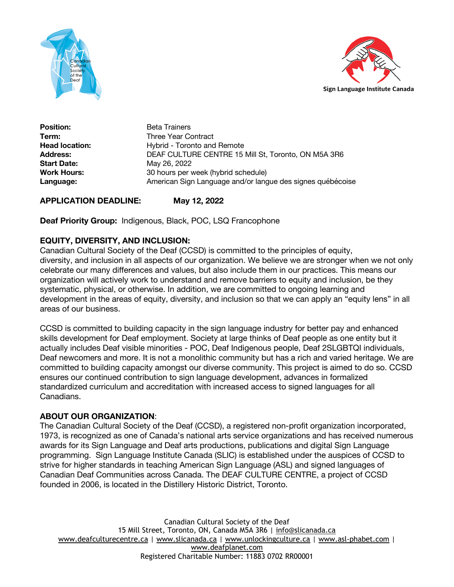



**Position:** Beta Trainers **Term:** Three Year Contract **Head location:** Hybrid - Toronto and Remote **Address:** DEAF CULTURE CENTRE 15 Mill St, Toronto, ON M5A 3R6 **Start Date:** May 26, 2022 **Work Hours:** 30 hours per week (hybrid schedule) **Language:** American Sign Language and/or langue des signes québécoise

**APPLICATION DEADLINE: May 12, 2022**

**Deaf Priority Group:** Indigenous, Black, POC, LSQ Francophone

# **EQUITY, DIVERSITY, AND INCLUSION:**

Canadian Cultural Society of the Deaf (CCSD) is committed to the principles of equity, diversity, and inclusion in all aspects of our organization. We believe we are stronger when we not only celebrate our many differences and values, but also include them in our practices. This means our organization will actively work to understand and remove barriers to equity and inclusion, be they systematic, physical, or otherwise. In addition, we are committed to ongoing learning and development in the areas of equity, diversity, and inclusion so that we can apply an "equity lens" in all areas of our business.

CCSD is committed to building capacity in the sign language industry for better pay and enhanced skills development for Deaf employment. Society at large thinks of Deaf people as one entity but it actually includes Deaf visible minorities - POC, Deaf Indigenous people, Deaf 2SLGBTQI individuals, Deaf newcomers and more. It is not a monolithic community but has a rich and varied heritage. We are committed to building capacity amongst our diverse community. This project is aimed to do so. CCSD ensures our continued contribution to sign language development, advances in formalized standardized curriculum and accreditation with increased access to signed languages for all Canadians.

# **ABOUT OUR ORGANIZATION**:

The Canadian Cultural Society of the Deaf (CCSD), a registered non-profit organization incorporated, 1973, is recognized as one of Canada's national arts service organizations and has received numerous awards for its Sign Language and Deaf arts productions, publications and digital Sign Language programming. Sign Language Institute Canada (SLIC) is established under the auspices of CCSD to strive for higher standards in teaching American Sign Language (ASL) and signed languages of Canadian Deaf Communities across Canada. The DEAF CULTURE CENTRE, a project of CCSD founded in 2006, is located in the Distillery Historic District, Toronto.

Canadian Cultural Society of the Deaf 15 Mill Street, Toronto, ON, Canada M5A 3R6 | info@slicanada.ca www.deafculturecentre.ca | www.slicanada.ca | www.unlockingculture.ca | www.asl-phabet.com | www.deafplanet.com Registered Charitable Number: 11883 0702 RR00001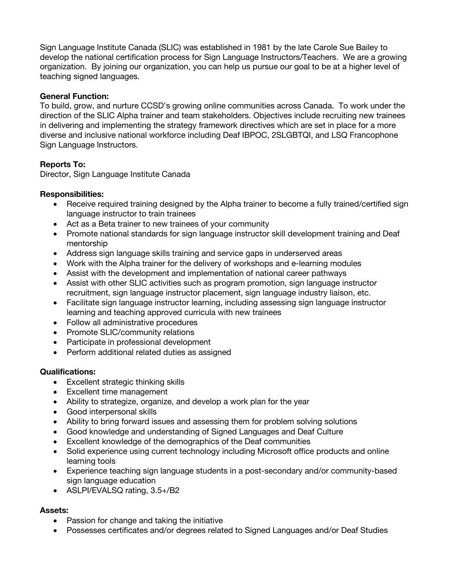Sign Language Institute Canada (SLIC) was established in 1981 by the late Carole Sue Bailey to develop the national certification process for Sign Language Instructors/Teachers. We are a growing organization. By joining our organization, you can help us pursue our goal to be at a higher level of teaching signed languages.

### **General Function:**

To build, grow, and nurture CCSD's growing online communities across Canada. To work under the direction of the SLIC Alpha trainer and team stakeholders. Objectives include recruiting new trainees in delivering and implementing the strategy framework directives which are set in place for a more diverse and inclusive national workforce including Deaf IBPOC, 2SLGBTQI, and LSQ Francophone Sign Language Instructors.

### **Reports To:**

Director, Sign Language Institute Canada

### **Responsibilities:**

- Receive required training designed by the Alpha trainer to become a fully trained/certified sign language instructor to train trainees
- Act as a Beta trainer to new trainees of your community
- Promote national standards for sign language instructor skill development training and Deaf mentorship
- Address sign language skills training and service gaps in underserved areas
- Work with the Alpha trainer for the delivery of workshops and e-learning modules
- Assist with the development and implementation of national career pathways
- Assist with other SLIC activities such as program promotion, sign language instructor recruitment, sign language instructor placement, sign language industry liaison, etc.
- Facilitate sign language instructor learning, including assessing sign language instructor learning and teaching approved curricula with new trainees
- Follow all administrative procedures
- Promote SLIC/community relations
- Participate in professional development
- Perform additional related duties as assigned

#### **Qualifications:**

- Excellent strategic thinking skills
- Excellent time management
- Ability to strategize, organize, and develop a work plan for the year
- Good interpersonal skills
- Ability to bring forward issues and assessing them for problem solving solutions
- Good knowledge and understanding of Signed Languages and Deaf Culture
- Excellent knowledge of the demographics of the Deaf communities
- Solid experience using current technology including Microsoft office products and online learning tools
- Experience teaching sign language students in a post-secondary and/or community-based sign language education
- ASLPI/EVALSQ rating, 3.5+/B2

# **Assets:**

- Passion for change and taking the initiative
- Possesses certificates and/or degrees related to Signed Languages and/or Deaf Studies